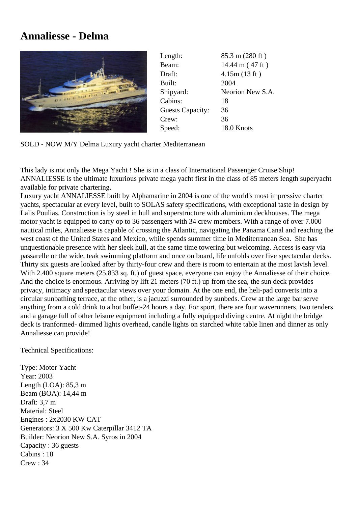## **Annaliesse - Delma**



| Length:                 | 85.3 m (280 ft)           |
|-------------------------|---------------------------|
| Beam:                   | $14.44 \text{ m}$ (47 ft) |
| Draft:                  | 4.15m(13 ft)              |
| Built:                  | 2004                      |
| Shipyard:               | Neorion New S.A.          |
| Cabins:                 | 18                        |
| <b>Guests Capacity:</b> | 36                        |
| Crew:                   | 36                        |
| Speed:                  | 18.0 Knots                |

SOLD - NOW M/Y Delma Luxury yacht charter Mediterranean

This lady is not only the Mega Yacht ! She is in a class of International Passenger Cruise Ship! ANNALIESSE is the ultimate luxurious private mega yacht first in the class of 85 meters length superyacht available for private chartering.

Luxury yacht ANNALIESSE built by Alphamarine in 2004 is one of the world's most impressive charter yachts, spectacular at every level, built to SOLAS safety specifications, with exceptional taste in design by Lalis Poulias. Construction is by steel in hull and superstructure with aluminium deckhouses. The mega motor yacht is equipped to carry op to 36 passengers with 34 crew members. With a range of over 7.000 nautical miles, Annaliesse is capable of crossing the Atlantic, navigating the Panama Canal and reaching the west coast of the United States and Mexico, while spends summer time in Mediterranean Sea. She has unquestionable presence with her sleek hull, at the same time towering but welcoming. Access is easy via passarelle or the wide, teak swimming platform and once on board, life unfolds over five spectacular decks. Thirty six guests are looked after by thirty-four crew and there is room to entertain at the most lavish level. With 2.400 square meters (25.833 sq. ft.) of guest space, everyone can enjoy the Annaliesse of their choice. And the choice is enormous. Arriving by lift 21 meters (70 ft.) up from the sea, the sun deck provides privacy, intimacy and spectacular views over your domain. At the one end, the heli-pad converts into a circular sunbathing terrace, at the other, is a jacuzzi surrounded by sunbeds. Crew at the large bar serve anything from a cold drink to a hot buffet-24 hours a day. For sport, there are four waverunners, two tenders and a garage full of other leisure equipment including a fully equipped diving centre. At night the bridge deck is tranformed- dimmed lights overhead, candle lights on starched white table linen and dinner as only Annaliesse can provide!

Technical Specifications:

Type: Motor Yacht Year: 2003 Length (LOA): 85,3 m Beam (BOA): 14,44 m Draft: 3,7 m Material: Steel Engines : 2x2030 KW CAT Generators: 3 X 500 Kw Caterpillar 3412 TA Builder: Neorion New S.A. Syros in 2004 Capacity : 36 guests Cabins : 18 Crew : 34